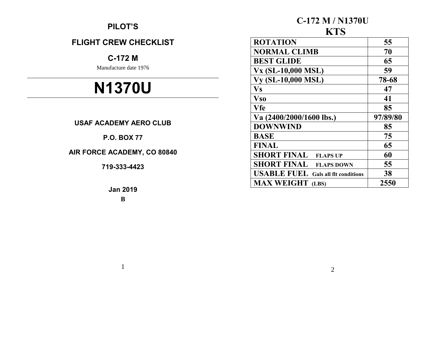# **PILOT'S**

# **FLIGHT CREW CHECKLIST**

# **C-172 M**

Manufacture date 1976

# **N1370U**

# **USAF ACADEMY AERO CLUB**

# **P.O. BOX 77**

# **AIR FORCE ACADEMY, CO 80840**

# **719-333-4423**

**Jan 2019 B**

1

## **C-172 M / N1370U** *KTR*

| N I D                                                |          |  |
|------------------------------------------------------|----------|--|
| <b>ROTATION</b>                                      | 55       |  |
| <b>NORMAL CLIMB</b>                                  | 70       |  |
| <b>BEST GLIDE</b>                                    | 65       |  |
| <b>Vx (SL-10,000 MSL)</b>                            | 59       |  |
| <b>Vy (SL-10,000 MSL)</b>                            | 78-68    |  |
| <b>Vs</b>                                            | 47       |  |
| <b>Vso</b>                                           | 41       |  |
| Vfe                                                  | 85       |  |
| Va $(2400/2000/1600$ lbs.)                           | 97/89/80 |  |
| <b>DOWNWIND</b>                                      | 85       |  |
| <b>BASE</b>                                          | 75       |  |
| <b>FINAL</b>                                         | 65       |  |
| <b>SHORT FINAL</b><br><b>FLAPS UP</b>                | 60       |  |
| <b>SHORT FINAL</b><br><b>FLAPS DOWN</b>              | 55       |  |
| <b>USABLE FUEL</b><br><b>Gals all fit conditions</b> | 38       |  |
| <b>MAX WEIGHT</b><br>(LBS)                           | 2550     |  |

2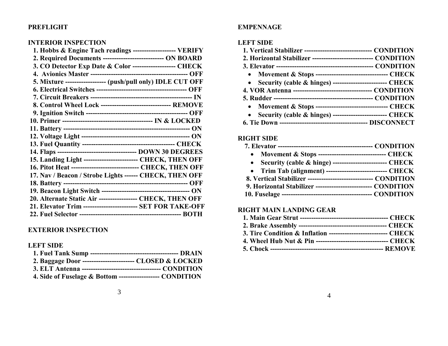# **PREFLIGHT**

## **INTERIOR INSPECTION**

| 2. Required Documents ---------------------------- ON BOARD    |  |
|----------------------------------------------------------------|--|
|                                                                |  |
| 3. CO Detector Exp Date & Color ------------------- CHECK      |  |
|                                                                |  |
| 5. Mixture ------------------ (push/pull only) IDLE CUT OFF    |  |
|                                                                |  |
|                                                                |  |
| 8. Control Wheel Lock -------------------------------- REMOVE  |  |
|                                                                |  |
|                                                                |  |
|                                                                |  |
|                                                                |  |
|                                                                |  |
|                                                                |  |
| 15. Landing Light ------------------------ CHECK, THEN OFF     |  |
| 16. Pitot Heat ------------------------------- CHECK, THEN OFF |  |
| 17. Nav / Beacon / Strobe Lights ------ CHECK, THEN OFF        |  |
|                                                                |  |
|                                                                |  |
| 20. Alternate Static Air ------------------ CHECK, THEN OFF    |  |
| 21. Elevator Trim ------------------------- SET FOR TAKE-OFF   |  |
|                                                                |  |

# **EXTERIOR INSPECTION**

## **LEFT SIDE**

| 2. Baggage Door ------------------------ CLOSED & LOCKED   |  |
|------------------------------------------------------------|--|
|                                                            |  |
| 4. Side of Fuselage & Bottom ------------------- CONDITION |  |

## **EMPENNAGE**

## **LEFT SIDE**

| 1. Vertical Stabilizer ------------------------------- CONDITION |
|------------------------------------------------------------------|
| 2. Horizontal Stabilizer ----------------------------- CONDITION |
|                                                                  |
| • Movement & Stops ---------------------------------- CHECK      |
| • Security (cable & hinges) --------------------------- CHECK    |
|                                                                  |
|                                                                  |
| • Movement & Stops ---------------------------------- CHECK      |
| • Security (cable & hinges) -------------------------- CHECK     |
|                                                                  |

# **RIGHT SIDE**

| • Movement & Stops --------------------------------- CHECK      |  |
|-----------------------------------------------------------------|--|
|                                                                 |  |
| • Trim Tab (alignment) ----------------------------- CHECK      |  |
| 8. Vertical Stabilizer ------------------------------ CONDITION |  |
| 9. Horizontal Stabilizer -------------------------- CONDITION   |  |
|                                                                 |  |

# **RIGHT MAIN LANDING GEAR**

| 3. Tire Condition & Inflation ---------------------------- CHECK |  |
|------------------------------------------------------------------|--|
| 4. Wheel Hub Nut & Pin --------------------------------- CHECK   |  |
|                                                                  |  |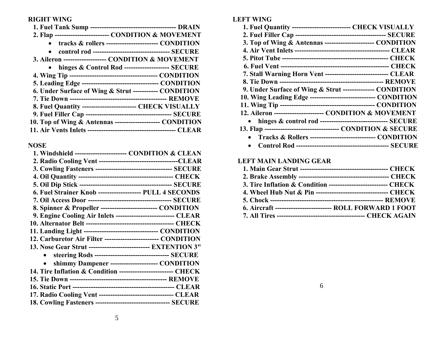# **RIGHT WING**

# **NOSE**

| 1. Windshield ----------------------- CONDITION & CLEAN         |                                                         |
|-----------------------------------------------------------------|---------------------------------------------------------|
|                                                                 |                                                         |
| 3. Cowling Fasteners ----------------------------------- SECURE |                                                         |
|                                                                 |                                                         |
|                                                                 |                                                         |
| 6. Fuel Strainer Knob ------------------- PULL 4 SECONDS        |                                                         |
|                                                                 |                                                         |
| 8. Spinner & Propeller -------------------------- CONDITION     |                                                         |
| 9. Engine Cooling Air Inlets --------------------------- CLEAR  |                                                         |
|                                                                 |                                                         |
| 11. Landing Light ---------------------------------- CONDITION  |                                                         |
| 12. Carburetor Air Filter ------------------------- CONDITION   |                                                         |
| 13. Nose Gear Strut --------------------------- EXTENTION 3"    |                                                         |
|                                                                 | steering Rods ---------------------------------- SECURE |
|                                                                 | shimmy Dampener ---------------------- CONDITION        |
| 14. Tire Inflation & Condition ------------------------- CHECK  |                                                         |
|                                                                 |                                                         |
|                                                                 |                                                         |
| 17. Radio Cooling Vent ---------------------------------- CLEAR |                                                         |
| 18. Cowling Fasteners ---------------------------------- SECURE |                                                         |
|                                                                 |                                                         |

# **LEFT WING**

| 1. Fuel Quantity -------------------------- CHECK VISUALLY      |                                                                    |
|-----------------------------------------------------------------|--------------------------------------------------------------------|
|                                                                 |                                                                    |
| 3. Top of Wing & Antennas ----------------------- CONDITION     |                                                                    |
|                                                                 |                                                                    |
|                                                                 |                                                                    |
|                                                                 |                                                                    |
| 7. Stall Warning Horn Vent ----------------------------- CLEAR  |                                                                    |
|                                                                 |                                                                    |
| 9. Under Surface of Wing & Strut --------------- CONDITION      |                                                                    |
| 10. Wing Leading Edge ------------------------------- CONDITION |                                                                    |
|                                                                 |                                                                    |
| 12. Aileron ----------------------- CONDITION & MOVEMENT        |                                                                    |
| • hinges & control rod -------------------------------- SECURE  |                                                                    |
|                                                                 |                                                                    |
|                                                                 | <b>Tracks &amp; Rollers ---------------------------- CONDITION</b> |
|                                                                 |                                                                    |

## **LEFT MAIN LANDING GEAR**

| 3. Tire Inflation & Condition ---------------------------- CHECK |  |
|------------------------------------------------------------------|--|
| 4. Wheel Hub Nut & Pin --------------------------------- CHECK   |  |
|                                                                  |  |
| 6. Aircraft --------------------------- ROLL FORWARD 1 FOOT      |  |
|                                                                  |  |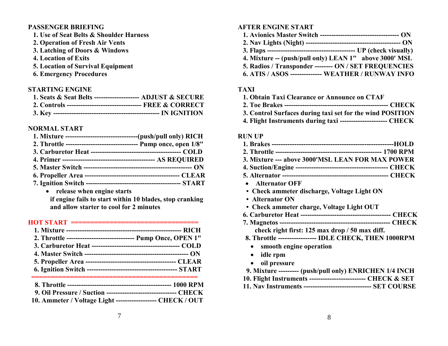#### **PASSENGER BRIEFING**

- **1. Use of Seat Belts & Shoulder Harness**
- **2. Operation of Fresh Air Vents**
- **3. Latching of Doors & Windows**
- **4. Location of Exits**
- **5. Location of Survival Equipment**
- **6. Emergency Procedures**

#### **STARTING ENGINE**

| 1. Seats & Seat Belts --------------------- ADJUST & SECURE   |  |
|---------------------------------------------------------------|--|
| 2. Controls ---------------------------------- FREE & CORRECT |  |
|                                                               |  |

#### **NORMAL START**

| 1. Mixture -----------------------------------(push/pull only) RICH |  |
|---------------------------------------------------------------------|--|
| 2. Throttle ------------------------------- Pump once, open 1/8"    |  |
|                                                                     |  |
|                                                                     |  |
|                                                                     |  |
|                                                                     |  |
|                                                                     |  |
|                                                                     |  |

 **release when engine starts if engine fails to start within 10 blades, stop cranking and allow starter to cool for 2 minutes**

#### $HOT$   $START$   $==$

| 2. Throttle ------------------------------ Pump Once, OPEN 1" |
|---------------------------------------------------------------|
|                                                               |
|                                                               |
|                                                               |
|                                                               |
|                                                               |

| 9. Oil Pressure / Suction -------------------------------- CHECK |  |
|------------------------------------------------------------------|--|

 **10. Ammeter / Voltage Light ------------------ CHECK / OUT**

#### **AFTER ENGINE START**

- **1. Avionics Master Switch ----------------------------------- ON**
- **2. Nav Lights (Night) ------------------------------------------ ON**
- **3. Flaps --------------------------------------- UP (check visually)**
- **4. Mixture -- (push/pull only) LEAN 1" above 3000' MSL**
- **5. Radios / Transponder -------- ON / SET FREQUENCIES**
- **6. ATIS / ASOS -------------- WEATHER / RUNWAY INFO**

#### **TAXI**

- **1. Obtain Taxi Clearance or Announce on CTAF**
- **2. Toe Brakes ---------------------------------------------- CHECK**
- **3. Control Surfaces during taxi set for the wind POSITION**
- **4. Flight Instruments during taxi --------------------- CHECK**

#### **RUN UP**

| 3. Mixture --- above 3000'MSL LEAN FOR MAX POWER                                                                                                                                                                               |  |
|--------------------------------------------------------------------------------------------------------------------------------------------------------------------------------------------------------------------------------|--|
|                                                                                                                                                                                                                                |  |
|                                                                                                                                                                                                                                |  |
| • Alternator OFF                                                                                                                                                                                                               |  |
| and the contract of the contract of the contract of the contract of the contract of the contract of the contract of the contract of the contract of the contract of the contract of the contract of the contract of the contra |  |

- **Check ammeter discharge, Voltage Light ON**
- **Alternator ON**
- **Check ammeter charge, Voltage Light OUT**
- **6. Carburetor Heat ---------------------------------------- CHECK**
- **7. Magnetos ------------------------------------------------- CHECK check right first: 125 max drop / 50 max diff.**
- **8. Throttle ----------------- IDLE CHECK, THEN 1000RPM**
	- **smooth engine operation**
	- **idle rpm**
- **oil pressure**
- **9. Mixture --------- (push/pull only) ENRICHEN 1/4 INCH**
- **10. Flight Instruments ------------------------- CHECK & SET**
- **11. Nav Instruments ------------------------------ SET COURSE**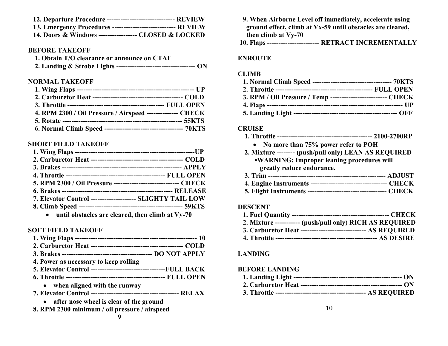| 12. Departure Procedure ------------------------------- REVIEW |               |
|----------------------------------------------------------------|---------------|
| 12 Emergancy Dropodures                                        | <b>DEVIEW</b> |

| 13. EHICI gency 1 Toceuul es ------------------------------ REVIEW |  |  |
|--------------------------------------------------------------------|--|--|
| 14. Doors & Windows ----------------- CLOSED & LOCKED              |  |  |

#### **BEFORE TAKEOFF**

| 1. Obtain T/O clearance or announce on CTAF |  |
|---------------------------------------------|--|
|                                             |  |

#### **NORMAL TAKEOFF**

| 4. RPM 2300 / Oil Pressure / Airspeed -------------- CHECK     |
|----------------------------------------------------------------|
|                                                                |
| 6. Normal Climb Speed ---------------------------------- 70KTS |
|                                                                |

## **SHORT FIELD TAKEOFF**

| 5. RPM 2300 / Oil Pressure ------------------------------ CHECK |  |
|-----------------------------------------------------------------|--|
|                                                                 |  |
| 7. Elevator Control -------------------- SLIGHTY TAIL LOW       |  |
|                                                                 |  |
| 2. until abstacles are cleaned then climb of V-70               |  |

**until obstacles are cleared, then climb at Vy-70**

#### **SOFT FIELD TAKEOFF**

| 4. Power as necessary to keep rolling                           |  |
|-----------------------------------------------------------------|--|
| 5. Elevator Control ----------------------------------FULL BACK |  |
|                                                                 |  |
| • when aligned with the runway                                  |  |
|                                                                 |  |
| • after nose wheel is clear of the ground                       |  |
| 8. RPM 2300 minimum / oil pressure / airspeed                   |  |
|                                                                 |  |

| 9. When Airborne Level off immediately, accelerate using   |
|------------------------------------------------------------|
| ground effect, climb at Vx-59 until obstacles are cleared, |
| then climb at Vy-70                                        |

**10. Flaps ----------------------- RETRACT INCREMENTALLY**

#### **ENROUTE**

#### **CLIMB**

| 3. RPM / Oil Pressure / Temp --------------------------- CHECK |  |
|----------------------------------------------------------------|--|
|                                                                |  |
|                                                                |  |

#### **CRUISE**

- **1. Throttle ------------------------------------------ 2100-2700RP No more than 75% power refer to POH**
- **2. Mixture -------- (push/pull only) LEAN AS REQUIRED •WARNING: Improper leaning procedures will greatly reduce endurance.**

**5. Flight Instruments ----------------------------------- CHECK**

#### **DESCENT**

| 2. Mixture ----------- (push/pull only) RICH AS REQUIRED       |  |
|----------------------------------------------------------------|--|
| 3. Carburetor Heat ------------------------------- AS REOUIRED |  |
|                                                                |  |

#### **LANDING**

#### **BEFORE LANDING**

- **1. Landing Light ------------------------------------------------ ON**
- **2. Carburetor Heat --------------------------------------------- ON**
- **3. Throttle ---------------------------------------- AS REQUIRED**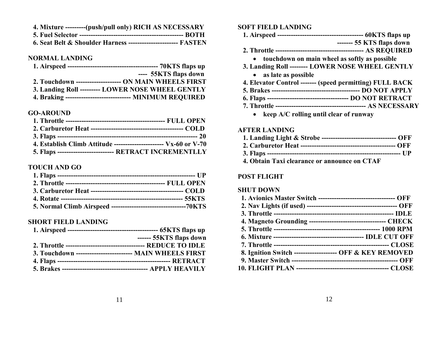| 4. Mixture ---------(push/pull only) RICH AS NECESSARY          |  |
|-----------------------------------------------------------------|--|
|                                                                 |  |
| 6. Seat Belt & Shoulder Harness ------------------------ FASTEN |  |

#### **NORMAL LANDING**

|                                                           | ---- 55KTS flaps down |
|-----------------------------------------------------------|-----------------------|
| 2. Touchdown --------------------- ON MAIN WHEELS FIRST   |                       |
| 3. Landing Roll --------- LOWER NOSE WHEEL GENTLY         |                       |
| 4. Braking ----------------------------- MINIMUM REQUIRED |                       |

#### **GO-AROUND**

| 4. Establish Climb Attitude ------------------------ $Vx-60$ or V-70 |  |
|----------------------------------------------------------------------|--|
| 5. Flaps -------------------------- RETRACT INCREMENTLLY             |  |

#### **TOUCH AND GO**

#### **SHORT FIELD LANDING**

|                                                          | $--- 55KTS$ flaps down |
|----------------------------------------------------------|------------------------|
|                                                          |                        |
| 3. Touchdown ------------------------- MAIN WHEELS FIRST |                        |
|                                                          |                        |
|                                                          |                        |

#### **SOFT FIELD LANDING**

|--|--|--|--|

- **------- 55 KTS flaps down**
- **2. Throttle --------------------------------------- AS REQUIRED**
	- **touchdown on main wheel as softly as possible**
- **3. Landing Roll -------- LOWER NOSE WHEEL GENTLY**
	- **as late as possible**
- **4. Elevator Control ------- (speed permitting) FULL BACK**
- **5. Brakes --------------------------------------- DO NOT APPLY**
- **6. Flaps ------------------------------------ DO NOT RETRACT**
- **7. Throttle ---------------------------------------- AS NECESSARY**
	- **keep A/C rolling until clear of runway**

#### **AFTER LANDING**

| 1. Landing Light & Strobe ---------------------------------- OFF |  |
|------------------------------------------------------------------|--|
|                                                                  |  |
|                                                                  |  |
| 4. Obtain Taxi clearance or announce on CTAF                     |  |

#### **POST FLIGHT**

#### **SHUT DOWN**

| 1. Avionics Master Switch ---------------------------------- OFF |  |
|------------------------------------------------------------------|--|
|                                                                  |  |
|                                                                  |  |
| 4. Magneto Grounding ----------------------------------- CHECK   |  |
|                                                                  |  |
|                                                                  |  |
|                                                                  |  |
| 8. Ignition Switch -------------------- OFF & KEY REMOVED        |  |
|                                                                  |  |
|                                                                  |  |
|                                                                  |  |